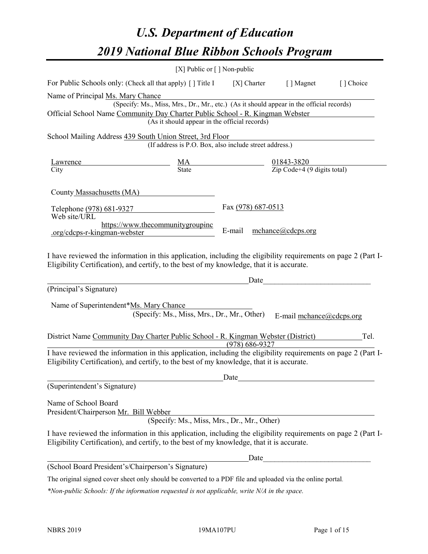# *U.S. Department of Education 2019 National Blue Ribbon Schools Program*

|                                                                                                                                                                                                              | [X] Public or [] Non-public                                                              |                    |                |                                                                |           |
|--------------------------------------------------------------------------------------------------------------------------------------------------------------------------------------------------------------|------------------------------------------------------------------------------------------|--------------------|----------------|----------------------------------------------------------------|-----------|
| For Public Schools only: (Check all that apply) [] Title I [X] Charter                                                                                                                                       |                                                                                          |                    |                | [ ] Magnet                                                     | [] Choice |
| Name of Principal Ms. Mary Chance                                                                                                                                                                            |                                                                                          |                    |                |                                                                |           |
|                                                                                                                                                                                                              | (Specify: Ms., Miss, Mrs., Dr., Mr., etc.) (As it should appear in the official records) |                    |                |                                                                |           |
| Official School Name Community Day Charter Public School - R. Kingman Webster                                                                                                                                |                                                                                          |                    |                |                                                                |           |
|                                                                                                                                                                                                              | (As it should appear in the official records)                                            |                    |                |                                                                |           |
| School Mailing Address 439 South Union Street, 3rd Floor                                                                                                                                                     |                                                                                          |                    |                |                                                                |           |
|                                                                                                                                                                                                              | (If address is P.O. Box, also include street address.)                                   |                    |                |                                                                |           |
| <b>Lawrence</b>                                                                                                                                                                                              |                                                                                          |                    |                |                                                                |           |
| City                                                                                                                                                                                                         | $\frac{MA}{State}$                                                                       |                    |                | $\underbrace{01843-3820}_{\text{Zip Code+4 (9 digits total)}}$ |           |
|                                                                                                                                                                                                              |                                                                                          |                    |                |                                                                |           |
| County Massachusetts (MA)                                                                                                                                                                                    |                                                                                          |                    |                |                                                                |           |
|                                                                                                                                                                                                              |                                                                                          | Fax (978) 687-0513 |                |                                                                |           |
| Telephone (978) 681-9327<br>Web site/URL                                                                                                                                                                     |                                                                                          |                    |                |                                                                |           |
|                                                                                                                                                                                                              | https://www.thecommunitygroupinc                                                         |                    |                |                                                                |           |
| .org/cdcps-r-kingman-webster                                                                                                                                                                                 |                                                                                          | E-mail             |                | mchance@cdcps.org                                              |           |
|                                                                                                                                                                                                              |                                                                                          |                    | Date           |                                                                |           |
| (Principal's Signature)                                                                                                                                                                                      |                                                                                          |                    |                |                                                                |           |
|                                                                                                                                                                                                              |                                                                                          |                    |                |                                                                |           |
| Name of Superintendent*Ms. Mary Chance                                                                                                                                                                       | (Specify: Ms., Miss, Mrs., Dr., Mr., Other)                                              |                    |                |                                                                |           |
|                                                                                                                                                                                                              |                                                                                          |                    |                | E-mail mchance@cdcps.org                                       |           |
| District Name Community Day Charter Public School - R. Kingman Webster (District)                                                                                                                            |                                                                                          |                    |                |                                                                | Tel.      |
|                                                                                                                                                                                                              |                                                                                          |                    | (978) 686-9327 |                                                                |           |
| I have reviewed the information in this application, including the eligibility requirements on page 2 (Part I-<br>Eligibility Certification), and certify, to the best of my knowledge, that it is accurate. |                                                                                          |                    |                |                                                                |           |
|                                                                                                                                                                                                              |                                                                                          | Date               |                |                                                                |           |
| (Superintendent's Signature)                                                                                                                                                                                 |                                                                                          |                    |                |                                                                |           |
|                                                                                                                                                                                                              |                                                                                          |                    |                |                                                                |           |
| Name of School Board                                                                                                                                                                                         |                                                                                          |                    |                |                                                                |           |
| President/Chairperson Mr. Bill Webber                                                                                                                                                                        | (Specify: Ms., Miss, Mrs., Dr., Mr., Other)                                              |                    |                |                                                                |           |
|                                                                                                                                                                                                              |                                                                                          |                    |                |                                                                |           |
| I have reviewed the information in this application, including the eligibility requirements on page 2 (Part I-<br>Eligibility Certification), and certify, to the best of my knowledge, that it is accurate. |                                                                                          |                    |                |                                                                |           |
|                                                                                                                                                                                                              |                                                                                          |                    | Date           |                                                                |           |
| (School Board President's/Chairperson's Signature)                                                                                                                                                           |                                                                                          |                    |                |                                                                |           |
| The original signed cover sheet only should be converted to a PDF file and uploaded via the online portal.                                                                                                   |                                                                                          |                    |                |                                                                |           |

*\*Non-public Schools: If the information requested is not applicable, write N/A in the space.*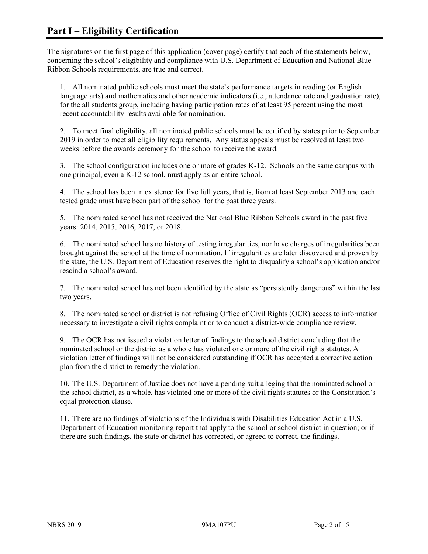The signatures on the first page of this application (cover page) certify that each of the statements below, concerning the school's eligibility and compliance with U.S. Department of Education and National Blue Ribbon Schools requirements, are true and correct.

1. All nominated public schools must meet the state's performance targets in reading (or English language arts) and mathematics and other academic indicators (i.e., attendance rate and graduation rate), for the all students group, including having participation rates of at least 95 percent using the most recent accountability results available for nomination.

2. To meet final eligibility, all nominated public schools must be certified by states prior to September 2019 in order to meet all eligibility requirements. Any status appeals must be resolved at least two weeks before the awards ceremony for the school to receive the award.

3. The school configuration includes one or more of grades K-12. Schools on the same campus with one principal, even a K-12 school, must apply as an entire school.

4. The school has been in existence for five full years, that is, from at least September 2013 and each tested grade must have been part of the school for the past three years.

5. The nominated school has not received the National Blue Ribbon Schools award in the past five years: 2014, 2015, 2016, 2017, or 2018.

6. The nominated school has no history of testing irregularities, nor have charges of irregularities been brought against the school at the time of nomination. If irregularities are later discovered and proven by the state, the U.S. Department of Education reserves the right to disqualify a school's application and/or rescind a school's award.

7. The nominated school has not been identified by the state as "persistently dangerous" within the last two years.

8. The nominated school or district is not refusing Office of Civil Rights (OCR) access to information necessary to investigate a civil rights complaint or to conduct a district-wide compliance review.

9. The OCR has not issued a violation letter of findings to the school district concluding that the nominated school or the district as a whole has violated one or more of the civil rights statutes. A violation letter of findings will not be considered outstanding if OCR has accepted a corrective action plan from the district to remedy the violation.

10. The U.S. Department of Justice does not have a pending suit alleging that the nominated school or the school district, as a whole, has violated one or more of the civil rights statutes or the Constitution's equal protection clause.

11. There are no findings of violations of the Individuals with Disabilities Education Act in a U.S. Department of Education monitoring report that apply to the school or school district in question; or if there are such findings, the state or district has corrected, or agreed to correct, the findings.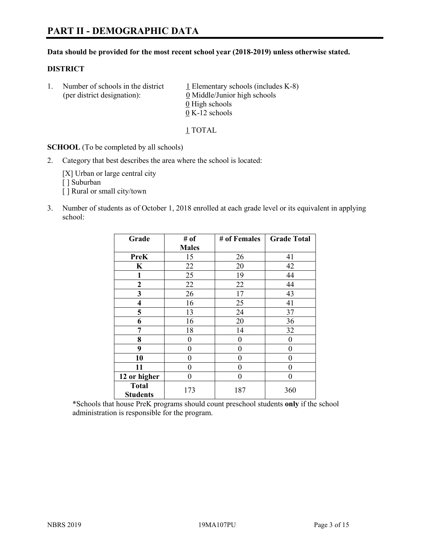#### **Data should be provided for the most recent school year (2018-2019) unless otherwise stated.**

#### **DISTRICT**

1. Number of schools in the district  $1$  Elementary schools (includes K-8) (per district designation): 0 Middle/Junior high schools  $\underline{0}$  High schools 0 K-12 schools

1 TOTAL

**SCHOOL** (To be completed by all schools)

2. Category that best describes the area where the school is located:

[X] Urban or large central city [ ] Suburban [] Rural or small city/town

3. Number of students as of October 1, 2018 enrolled at each grade level or its equivalent in applying school:

| Grade                           | # of         | # of Females | <b>Grade Total</b> |
|---------------------------------|--------------|--------------|--------------------|
|                                 | <b>Males</b> |              |                    |
| <b>PreK</b>                     | 15           | 26           | 41                 |
| $\mathbf K$                     | 22           | 20           | 42                 |
| 1                               | 25           | 19           | 44                 |
| 2                               | 22           | 22           | 44                 |
| 3                               | 26           | 17           | 43                 |
| $\overline{\mathbf{4}}$         | 16           | 25           | 41                 |
| 5                               | 13           | 24           | 37                 |
| 6                               | 16           | 20           | 36                 |
| 7                               | 18           | 14           | 32                 |
| 8                               | 0            | 0            | 0                  |
| 9                               | 0            | $\theta$     | 0                  |
| 10                              | 0            | $\theta$     | 0                  |
| 11                              | 0            | $\theta$     | 0                  |
| 12 or higher                    | 0            | 0            | 0                  |
| <b>Total</b><br><b>Students</b> | 173          | 187          | 360                |

\*Schools that house PreK programs should count preschool students **only** if the school administration is responsible for the program.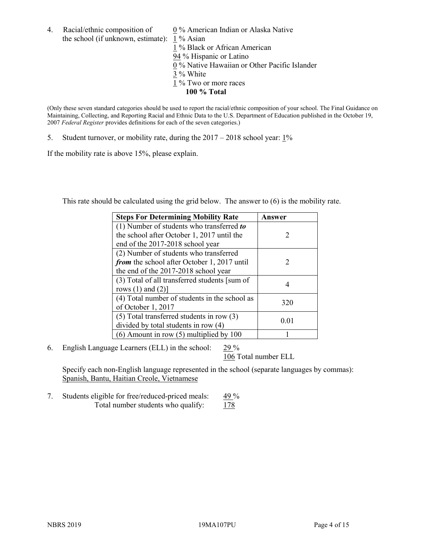4. Racial/ethnic composition of  $0\%$  American Indian or Alaska Native the school (if unknown, estimate): 1 % Asian

1 % Black or African American 94 % Hispanic or Latino  $\overline{0\%}$  Native Hawaiian or Other Pacific Islander 3 % White 1 % Two or more races **100 % Total**

(Only these seven standard categories should be used to report the racial/ethnic composition of your school. The Final Guidance on Maintaining, Collecting, and Reporting Racial and Ethnic Data to the U.S. Department of Education published in the October 19, 2007 *Federal Register* provides definitions for each of the seven categories.)

5. Student turnover, or mobility rate, during the 2017 – 2018 school year: 1%

If the mobility rate is above 15%, please explain.

This rate should be calculated using the grid below. The answer to (6) is the mobility rate.

| <b>Steps For Determining Mobility Rate</b>    | <b>Answer</b>               |
|-----------------------------------------------|-----------------------------|
| (1) Number of students who transferred to     |                             |
| the school after October 1, 2017 until the    | $\mathcal{D}$               |
| end of the 2017-2018 school year              |                             |
| (2) Number of students who transferred        |                             |
| from the school after October 1, 2017 until   | $\mathcal{D}_{\mathcal{L}}$ |
| the end of the 2017-2018 school year          |                             |
| (3) Total of all transferred students [sum of |                             |
| rows $(1)$ and $(2)$ ]                        |                             |
| (4) Total number of students in the school as |                             |
| of October 1, 2017                            | 320                         |
| $(5)$ Total transferred students in row $(3)$ |                             |
| divided by total students in row (4)          | 0.01                        |
| $(6)$ Amount in row $(5)$ multiplied by 100   |                             |

6. English Language Learners (ELL) in the school:  $29\%$ 

106 Total number ELL

Specify each non-English language represented in the school (separate languages by commas): Spanish, Bantu, Haitian Creole, Vietnamese

7. Students eligible for free/reduced-priced meals: 49 % Total number students who qualify:  $178$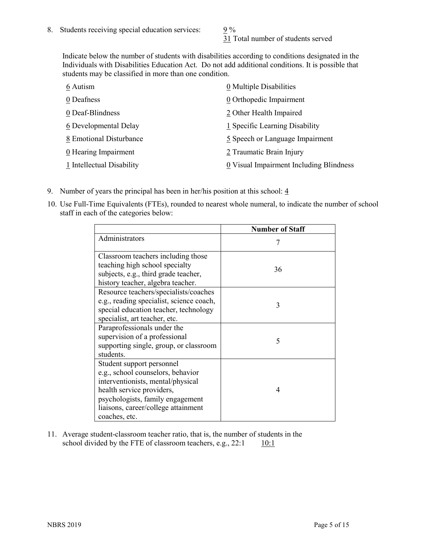31 Total number of students served

Indicate below the number of students with disabilities according to conditions designated in the Individuals with Disabilities Education Act. Do not add additional conditions. It is possible that students may be classified in more than one condition.

| 6 Autism                  | 0 Multiple Disabilities                 |
|---------------------------|-----------------------------------------|
| 0 Deafness                | 0 Orthopedic Impairment                 |
| 0 Deaf-Blindness          | 2 Other Health Impaired                 |
| 6 Developmental Delay     | 1 Specific Learning Disability          |
| 8 Emotional Disturbance   | 5 Speech or Language Impairment         |
| 0 Hearing Impairment      | 2 Traumatic Brain Injury                |
| 1 Intellectual Disability | 0 Visual Impairment Including Blindness |

- 9. Number of years the principal has been in her/his position at this school:  $\frac{4}{3}$
- 10. Use Full-Time Equivalents (FTEs), rounded to nearest whole numeral, to indicate the number of school staff in each of the categories below:

|                                                                                                                                                                                                                              | <b>Number of Staff</b> |
|------------------------------------------------------------------------------------------------------------------------------------------------------------------------------------------------------------------------------|------------------------|
| Administrators                                                                                                                                                                                                               |                        |
| Classroom teachers including those<br>teaching high school specialty<br>subjects, e.g., third grade teacher,<br>history teacher, algebra teacher.                                                                            | 36                     |
| Resource teachers/specialists/coaches<br>e.g., reading specialist, science coach,<br>special education teacher, technology<br>specialist, art teacher, etc.                                                                  | 3                      |
| Paraprofessionals under the<br>supervision of a professional<br>supporting single, group, or classroom<br>students.                                                                                                          | 5                      |
| Student support personnel<br>e.g., school counselors, behavior<br>interventionists, mental/physical<br>health service providers,<br>psychologists, family engagement<br>liaisons, career/college attainment<br>coaches, etc. | 4                      |

11. Average student-classroom teacher ratio, that is, the number of students in the school divided by the FTE of classroom teachers, e.g.,  $22:1$  10:1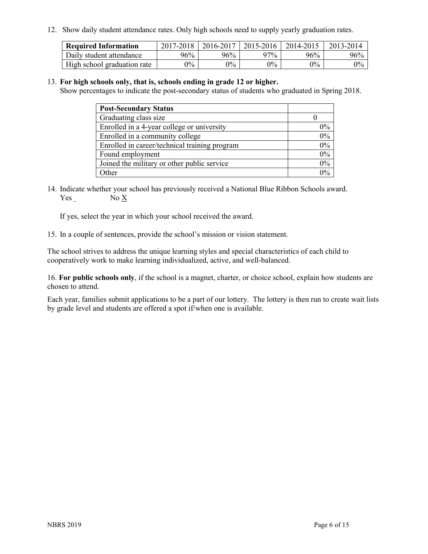12. Show daily student attendance rates. Only high schools need to supply yearly graduation rates.

| <b>Required Information</b> | 2017-2018 | 2016-2017 | 2015-2016 | 2014-2015 | 2013-2014 |
|-----------------------------|-----------|-----------|-----------|-----------|-----------|
| Daily student attendance    | 96%       | 96%       | 97%       | 96%       | 96%       |
| High school graduation rate | $0\%$     | $0\%$     | $0\%$     | $9\%$     | $0\%$     |

#### 13. **For high schools only, that is, schools ending in grade 12 or higher.**

Show percentages to indicate the post-secondary status of students who graduated in Spring 2018.

| <b>Post-Secondary Status</b>                  |       |
|-----------------------------------------------|-------|
| Graduating class size                         |       |
| Enrolled in a 4-year college or university    | $0\%$ |
| Enrolled in a community college               | 0%    |
| Enrolled in career/technical training program | 0%    |
| Found employment                              | 0%    |
| Joined the military or other public service   | 0%    |
| Other                                         | $0\%$ |

14. Indicate whether your school has previously received a National Blue Ribbon Schools award. Yes No X

If yes, select the year in which your school received the award.

15. In a couple of sentences, provide the school's mission or vision statement.

The school strives to address the unique learning styles and special characteristics of each child to cooperatively work to make learning individualized, active, and well-balanced.

16. **For public schools only**, if the school is a magnet, charter, or choice school, explain how students are chosen to attend.

Each year, families submit applications to be a part of our lottery. The lottery is then run to create wait lists by grade level and students are offered a spot if/when one is available.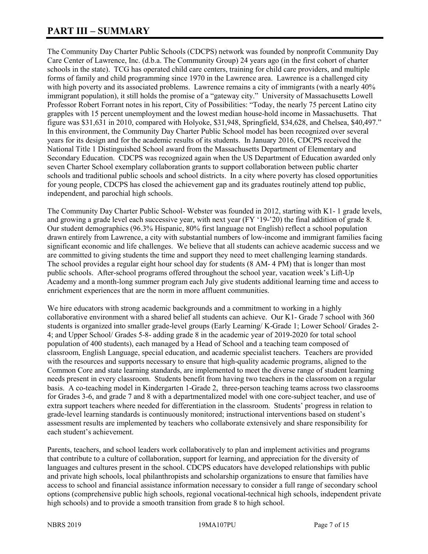# **PART III – SUMMARY**

The Community Day Charter Public Schools (CDCPS) network was founded by nonprofit Community Day Care Center of Lawrence, Inc. (d.b.a. The Community Group) 24 years ago (in the first cohort of charter schools in the state). TCG has operated child care centers, training for child care providers, and multiple forms of family and child programming since 1970 in the Lawrence area. Lawrence is a challenged city with high poverty and its associated problems. Lawrence remains a city of immigrants (with a nearly 40%) immigrant population), it still holds the promise of a "gateway city." University of Massachusetts Lowell Professor Robert Forrant notes in his report, City of Possibilities: "Today, the nearly 75 percent Latino city grapples with 15 percent unemployment and the lowest median house-hold income in Massachusetts. That figure was \$31,631 in 2010, compared with Holyoke, \$31,948, Springfield, \$34,628, and Chelsea, \$40,497." In this environment, the Community Day Charter Public School model has been recognized over several years for its design and for the academic results of its students. In January 2016, CDCPS received the National Title 1 Distinguished School award from the Massachusetts Department of Elementary and Secondary Education. CDCPS was recognized again when the US Department of Education awarded only seven Charter School exemplary collaboration grants to support collaboration between public charter schools and traditional public schools and school districts. In a city where poverty has closed opportunities for young people, CDCPS has closed the achievement gap and its graduates routinely attend top public, independent, and parochial high schools.

The Community Day Charter Public School- Webster was founded in 2012, starting with K1- 1 grade levels, and growing a grade level each successive year, with next year (FY '19-'20) the final addition of grade 8. Our student demographics (96.3% Hispanic, 80% first language not English) reflect a school population drawn entirely from Lawrence, a city with substantial numbers of low-income and immigrant families facing significant economic and life challenges. We believe that all students can achieve academic success and we are committed to giving students the time and support they need to meet challenging learning standards. The school provides a regular eight hour school day for students (8 AM- 4 PM) that is longer than most public schools. After-school programs offered throughout the school year, vacation week's Lift-Up Academy and a month-long summer program each July give students additional learning time and access to enrichment experiences that are the norm in more affluent communities.

We hire educators with strong academic backgrounds and a commitment to working in a highly collaborative environment with a shared belief all students can achieve. Our K1- Grade 7 school with 360 students is organized into smaller grade-level groups (Early Learning/ K-Grade 1; Lower School/ Grades 2- 4; and Upper School/ Grades 5-8- adding grade 8 in the academic year of 2019-2020 for total school population of 400 students), each managed by a Head of School and a teaching team composed of classroom, English Language, special education, and academic specialist teachers. Teachers are provided with the resources and supports necessary to ensure that high-quality academic programs, aligned to the Common Core and state learning standards, are implemented to meet the diverse range of student learning needs present in every classroom. Students benefit from having two teachers in the classroom on a regular basis. A co-teaching model in Kindergarten 1-Grade 2, three-person teaching teams across two classrooms for Grades 3-6, and grade 7 and 8 with a departmentalized model with one core-subject teacher, and use of extra support teachers where needed for differentiation in the classroom. Students' progress in relation to grade-level learning standards is continuously monitored; instructional interventions based on student's assessment results are implemented by teachers who collaborate extensively and share responsibility for each student's achievement.

Parents, teachers, and school leaders work collaboratively to plan and implement activities and programs that contribute to a culture of collaboration, support for learning, and appreciation for the diversity of languages and cultures present in the school. CDCPS educators have developed relationships with public and private high schools, local philanthropists and scholarship organizations to ensure that families have access to school and financial assistance information necessary to consider a full range of secondary school options (comprehensive public high schools, regional vocational-technical high schools, independent private high schools) and to provide a smooth transition from grade 8 to high school.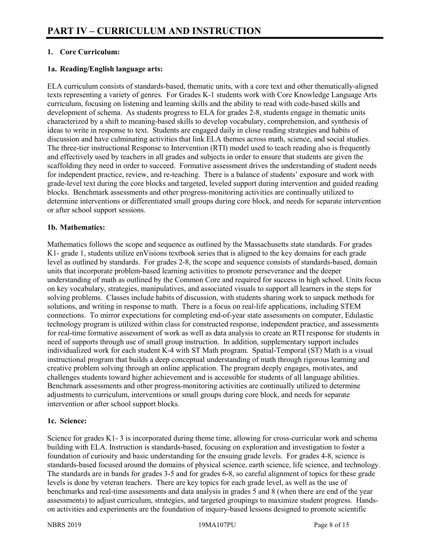# **1. Core Curriculum:**

## **1a. Reading/English language arts:**

ELA curriculum consists of standards-based, thematic units, with a core text and other thematically-aligned texts representing a variety of genres. For Grades K-1 students work with Core Knowledge Language Arts curriculum, focusing on listening and learning skills and the ability to read with code-based skills and development of schema. As students progress to ELA for grades 2-8, students engage in thematic units characterized by a shift to meaning-based skills to develop vocabulary, comprehension, and synthesis of ideas to write in response to text. Students are engaged daily in close reading strategies and habits of discussion and have culminating activities that link ELA themes across math, science, and social studies. The three-tier instructional Response to Intervention (RTI) model used to teach reading also is frequently and effectively used by teachers in all grades and subjects in order to ensure that students are given the scaffolding they need in order to succeed. Formative assessment drives the understanding of student needs for independent practice, review, and re-teaching. There is a balance of students' exposure and work with grade-level text during the core blocks and targeted, leveled support during intervention and guided reading blocks. Benchmark assessments and other progress-monitoring activities are continually utilized to determine interventions or differentiated small groups during core block, and needs for separate intervention or after school support sessions.

#### **1b. Mathematics:**

Mathematics follows the scope and sequence as outlined by the Massachusetts state standards. For grades K1- grade 1, students utilize enVisions textbook series that is aligned to the key domains for each grade level as outlined by standards. For grades 2-8, the scope and sequence consists of standards-based, domain units that incorporate problem-based learning activities to promote perseverance and the deeper understanding of math as outlined by the Common Core and required for success in high school. Units focus on key vocabulary, strategies, manipulatives, and associated visuals to support all learners in the steps for solving problems. Classes include habits of discussion, with students sharing work to unpack methods for solutions, and writing in response to math. There is a focus on real-life applications, including STEM connections. To mirror expectations for completing end-of-year state assessments on computer, Edulastic technology program is utilized within class for constructed response, independent practice, and assessments for real-time formative assessment of work as well as data analysis to create an RTI response for students in need of supports through use of small group instruction. In addition, supplementary support includes individualized work for each student K-4 with ST Math program. Spatial-Temporal (ST) Math is a visual instructional program that builds a deep conceptual understanding of math through rigorous learning and creative problem solving through an online application. The program deeply engages, motivates, and challenges students toward higher achievement and is accessible for students of all language abilities. Benchmark assessments and other progress-monitoring activities are continually utilized to determine adjustments to curriculum, interventions or small groups during core block, and needs for separate intervention or after school support blocks.

#### **1c. Science:**

Science for grades K1- 3 is incorporated during theme time, allowing for cross-curricular work and schema building with ELA. Instruction is standards-based, focusing on exploration and investigation to foster a foundation of curiosity and basic understanding for the ensuing grade levels. For grades 4-8, science is standards-based focused around the domains of physical science, earth science, life science, and technology. The standards are in bands for grades 3-5 and for grades 6-8, so careful alignment of topics for these grade levels is done by veteran teachers. There are key topics for each grade level, as well as the use of benchmarks and real-time assessments and data analysis in grades 5 and 8 (when there are end of the year assessments) to adjust curriculum, strategies, and targeted groupings to maximize student progress. Handson activities and experiments are the foundation of inquiry-based lessons designed to promote scientific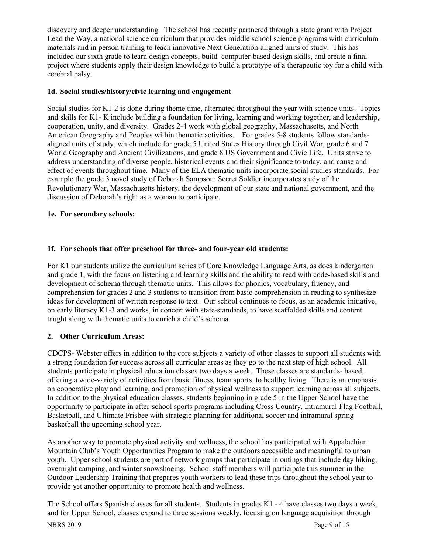discovery and deeper understanding. The school has recently partnered through a state grant with Project Lead the Way, a national science curriculum that provides middle school science programs with curriculum materials and in person training to teach innovative Next Generation-aligned units of study. This has included our sixth grade to learn design concepts, build computer-based design skills, and create a final project where students apply their design knowledge to build a prototype of a therapeutic toy for a child with cerebral palsy.

## **1d. Social studies/history/civic learning and engagement**

Social studies for K1-2 is done during theme time, alternated throughout the year with science units. Topics and skills for K1- K include building a foundation for living, learning and working together, and leadership, cooperation, unity, and diversity. Grades 2-4 work with global geography, Massachusetts, and North American Geography and Peoples within thematic activities. For grades 5-8 students follow standardsaligned units of study, which include for grade 5 United States History through Civil War, grade 6 and 7 World Geography and Ancient Civilizations, and grade 8 US Government and Civic Life. Units strive to address understanding of diverse people, historical events and their significance to today, and cause and effect of events throughout time. Many of the ELA thematic units incorporate social studies standards. For example the grade 3 novel study of Deborah Sampson: Secret Soldier incorporates study of the Revolutionary War, Massachusetts history, the development of our state and national government, and the discussion of Deborah's right as a woman to participate.

## **1e. For secondary schools:**

# **1f. For schools that offer preschool for three- and four-year old students:**

For K1 our students utilize the curriculum series of Core Knowledge Language Arts, as does kindergarten and grade 1, with the focus on listening and learning skills and the ability to read with code-based skills and development of schema through thematic units. This allows for phonics, vocabulary, fluency, and comprehension for grades 2 and 3 students to transition from basic comprehension in reading to synthesize ideas for development of written response to text. Our school continues to focus, as an academic initiative, on early literacy K1-3 and works, in concert with state-standards, to have scaffolded skills and content taught along with thematic units to enrich a child's schema.

# **2. Other Curriculum Areas:**

CDCPS- Webster offers in addition to the core subjects a variety of other classes to support all students with a strong foundation for success across all curricular areas as they go to the next step of high school. All students participate in physical education classes two days a week. These classes are standards- based, offering a wide-variety of activities from basic fitness, team sports, to healthy living. There is an emphasis on cooperative play and learning, and promotion of physical wellness to support learning across all subjects. In addition to the physical education classes, students beginning in grade 5 in the Upper School have the opportunity to participate in after-school sports programs including Cross Country, Intramural Flag Football, Basketball, and Ultimate Frisbee with strategic planning for additional soccer and intramural spring basketball the upcoming school year.

As another way to promote physical activity and wellness, the school has participated with Appalachian Mountain Club's Youth Opportunities Program to make the outdoors accessible and meaningful to urban youth. Upper school students are part of network groups that participate in outings that include day hiking, overnight camping, and winter snowshoeing. School staff members will participate this summer in the Outdoor Leadership Training that prepares youth workers to lead these trips throughout the school year to provide yet another opportunity to promote health and wellness.

The School offers Spanish classes for all students. Students in grades K1 - 4 have classes two days a week, and for Upper School, classes expand to three sessions weekly, focusing on language acquisition through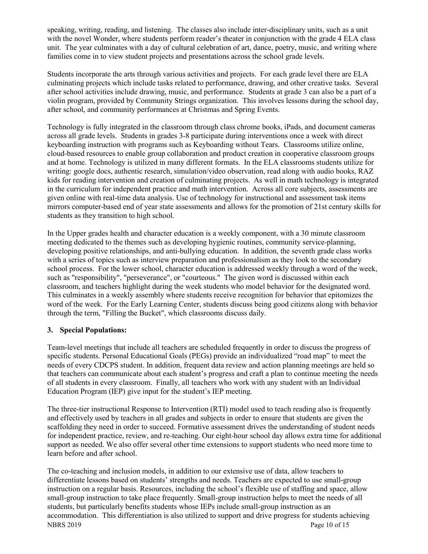speaking, writing, reading, and listening. The classes also include inter-disciplinary units, such as a unit with the novel Wonder, where students perform reader's theater in conjunction with the grade 4 ELA class unit. The year culminates with a day of cultural celebration of art, dance, poetry, music, and writing where families come in to view student projects and presentations across the school grade levels.

Students incorporate the arts through various activities and projects. For each grade level there are ELA culminating projects which include tasks related to performance, drawing, and other creative tasks. Several after school activities include drawing, music, and performance. Students at grade 3 can also be a part of a violin program, provided by Community Strings organization. This involves lessons during the school day, after school, and community performances at Christmas and Spring Events.

Technology is fully integrated in the classroom through class chrome books, iPads, and document cameras across all grade levels. Students in grades 3-8 participate during interventions once a week with direct keyboarding instruction with programs such as Keyboarding without Tears. Classrooms utilize online, cloud-based resources to enable group collaboration and product creation in cooperative classroom groups and at home. Technology is utilized in many different formats. In the ELA classrooms students utilize for writing: google docs, authentic research, simulation/video observation, read along with audio books, RAZ kids for reading intervention and creation of culminating projects. As well in math technology is integrated in the curriculum for independent practice and math intervention. Across all core subjects, assessments are given online with real-time data analysis. Use of technology for instructional and assessment task items mirrors computer-based end of year state assessments and allows for the promotion of 21st century skills for students as they transition to high school.

In the Upper grades health and character education is a weekly component, with a 30 minute classroom meeting dedicated to the themes such as developing hygienic routines, community service-planning, developing positive relationships, and anti-bullying education. In addition, the seventh grade class works with a series of topics such as interview preparation and professionalism as they look to the secondary school process. For the lower school, character education is addressed weekly through a word of the week, such as "responsibility", "perseverance", or "courteous." The given word is discussed within each classroom, and teachers highlight during the week students who model behavior for the designated word. This culminates in a weekly assembly where students receive recognition for behavior that epitomizes the word of the week. For the Early Learning Center, students discuss being good citizens along with behavior through the term, "Filling the Bucket", which classrooms discuss daily.

#### **3. Special Populations:**

Team-level meetings that include all teachers are scheduled frequently in order to discuss the progress of specific students. Personal Educational Goals (PEGs) provide an individualized "road map" to meet the needs of every CDCPS student. In addition, frequent data review and action planning meetings are held so that teachers can communicate about each student's progress and craft a plan to continue meeting the needs of all students in every classroom. Finally, all teachers who work with any student with an Individual Education Program (IEP) give input for the student's IEP meeting.

The three-tier instructional Response to Intervention (RTI) model used to teach reading also is frequently and effectively used by teachers in all grades and subjects in order to ensure that students are given the scaffolding they need in order to succeed. Formative assessment drives the understanding of student needs for independent practice, review, and re-teaching. Our eight-hour school day allows extra time for additional support as needed. We also offer several other time extensions to support students who need more time to learn before and after school.

NBRS 2019 Page 10 of 15 The co-teaching and inclusion models, in addition to our extensive use of data, allow teachers to differentiate lessons based on students' strengths and needs. Teachers are expected to use small-group instruction on a regular basis. Resources, including the school's flexible use of staffing and space, allow small-group instruction to take place frequently. Small-group instruction helps to meet the needs of all students, but particularly benefits students whose IEPs include small-group instruction as an accommodation. This differentiation is also utilized to support and drive progress for students achieving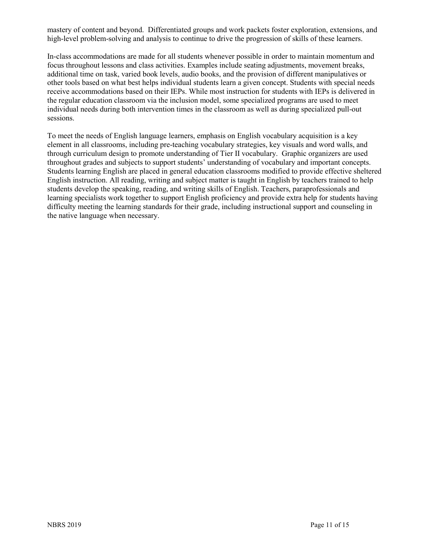mastery of content and beyond. Differentiated groups and work packets foster exploration, extensions, and high-level problem-solving and analysis to continue to drive the progression of skills of these learners.

In-class accommodations are made for all students whenever possible in order to maintain momentum and focus throughout lessons and class activities. Examples include seating adjustments, movement breaks, additional time on task, varied book levels, audio books, and the provision of different manipulatives or other tools based on what best helps individual students learn a given concept. Students with special needs receive accommodations based on their IEPs. While most instruction for students with IEPs is delivered in the regular education classroom via the inclusion model, some specialized programs are used to meet individual needs during both intervention times in the classroom as well as during specialized pull-out sessions.

To meet the needs of English language learners, emphasis on English vocabulary acquisition is a key element in all classrooms, including pre-teaching vocabulary strategies, key visuals and word walls, and through curriculum design to promote understanding of Tier II vocabulary. Graphic organizers are used throughout grades and subjects to support students' understanding of vocabulary and important concepts. Students learning English are placed in general education classrooms modified to provide effective sheltered English instruction. All reading, writing and subject matter is taught in English by teachers trained to help students develop the speaking, reading, and writing skills of English. Teachers, paraprofessionals and learning specialists work together to support English proficiency and provide extra help for students having difficulty meeting the learning standards for their grade, including instructional support and counseling in the native language when necessary.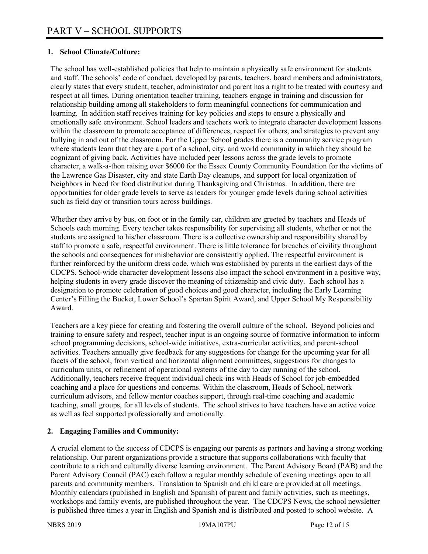# **1. School Climate/Culture:**

The school has well-established policies that help to maintain a physically safe environment for students and staff. The schools' code of conduct, developed by parents, teachers, board members and administrators, clearly states that every student, teacher, administrator and parent has a right to be treated with courtesy and respect at all times. During orientation teacher training, teachers engage in training and discussion for relationship building among all stakeholders to form meaningful connections for communication and learning. In addition staff receives training for key policies and steps to ensure a physically and emotionally safe environment. School leaders and teachers work to integrate character development lessons within the classroom to promote acceptance of differences, respect for others, and strategies to prevent any bullying in and out of the classroom. For the Upper School grades there is a community service program where students learn that they are a part of a school, city, and world community in which they should be cognizant of giving back. Activities have included peer lessons across the grade levels to promote character, a walk-a-thon raising over \$6000 for the Essex County Community Foundation for the victims of the Lawrence Gas Disaster, city and state Earth Day cleanups, and support for local organization of Neighbors in Need for food distribution during Thanksgiving and Christmas. In addition, there are opportunities for older grade levels to serve as leaders for younger grade levels during school activities such as field day or transition tours across buildings.

Whether they arrive by bus, on foot or in the family car, children are greeted by teachers and Heads of Schools each morning. Every teacher takes responsibility for supervising all students, whether or not the students are assigned to his/her classroom. There is a collective ownership and responsibility shared by staff to promote a safe, respectful environment. There is little tolerance for breaches of civility throughout the schools and consequences for misbehavior are consistently applied. The respectful environment is further reinforced by the uniform dress code, which was established by parents in the earliest days of the CDCPS. School-wide character development lessons also impact the school environment in a positive way, helping students in every grade discover the meaning of citizenship and civic duty. Each school has a designation to promote celebration of good choices and good character, including the Early Learning Center's Filling the Bucket, Lower School's Spartan Spirit Award, and Upper School My Responsibility Award.

Teachers are a key piece for creating and fostering the overall culture of the school. Beyond policies and training to ensure safety and respect, teacher input is an ongoing source of formative information to inform school programming decisions, school-wide initiatives, extra-curricular activities, and parent-school activities. Teachers annually give feedback for any suggestions for change for the upcoming year for all facets of the school, from vertical and horizontal alignment committees, suggestions for changes to curriculum units, or refinement of operational systems of the day to day running of the school. Additionally, teachers receive frequent individual check-ins with Heads of School for job-embedded coaching and a place for questions and concerns. Within the classroom, Heads of School, network curriculum advisors, and fellow mentor coaches support, through real-time coaching and academic teaching, small groups, for all levels of students. The school strives to have teachers have an active voice as well as feel supported professionally and emotionally.

# **2. Engaging Families and Community:**

A crucial element to the success of CDCPS is engaging our parents as partners and having a strong working relationship. Our parent organizations provide a structure that supports collaborations with faculty that contribute to a rich and culturally diverse learning environment. The Parent Advisory Board (PAB) and the Parent Advisory Council (PAC) each follow a regular monthly schedule of evening meetings open to all parents and community members. Translation to Spanish and child care are provided at all meetings. Monthly calendars (published in English and Spanish) of parent and family activities, such as meetings, workshops and family events, are published throughout the year. The CDCPS News, the school newsletter is published three times a year in English and Spanish and is distributed and posted to school website. A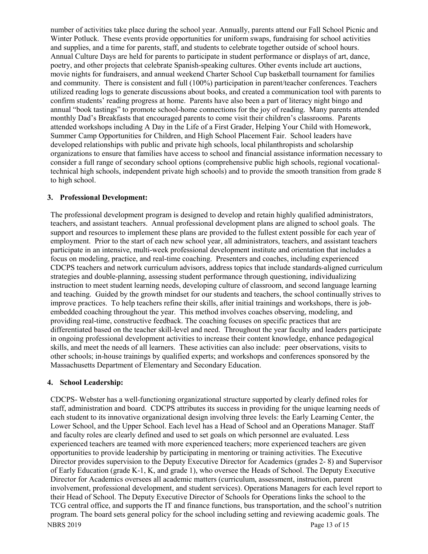number of activities take place during the school year. Annually, parents attend our Fall School Picnic and Winter Potluck. These events provide opportunities for uniform swaps, fundraising for school activities and supplies, and a time for parents, staff, and students to celebrate together outside of school hours. Annual Culture Days are held for parents to participate in student performance or displays of art, dance, poetry, and other projects that celebrate Spanish-speaking cultures. Other events include art auctions, movie nights for fundraisers, and annual weekend Charter School Cup basketball tournament for families and community. There is consistent and full (100%) participation in parent/teacher conferences. Teachers utilized reading logs to generate discussions about books, and created a communication tool with parents to confirm students' reading progress at home. Parents have also been a part of literacy night bingo and annual "book tastings" to promote school-home connections for the joy of reading. Many parents attended monthly Dad's Breakfasts that encouraged parents to come visit their children's classrooms. Parents attended workshops including A Day in the Life of a First Grader, Helping Your Child with Homework, Summer Camp Opportunities for Children, and High School Placement Fair. School leaders have developed relationships with public and private high schools, local philanthropists and scholarship organizations to ensure that families have access to school and financial assistance information necessary to consider a full range of secondary school options (comprehensive public high schools, regional vocationaltechnical high schools, independent private high schools) and to provide the smooth transition from grade 8 to high school.

#### **3. Professional Development:**

The professional development program is designed to develop and retain highly qualified administrators, teachers, and assistant teachers. Annual professional development plans are aligned to school goals. The support and resources to implement these plans are provided to the fullest extent possible for each year of employment. Prior to the start of each new school year, all administrators, teachers, and assistant teachers participate in an intensive, multi-week professional development institute and orientation that includes a focus on modeling, practice, and real-time coaching. Presenters and coaches, including experienced CDCPS teachers and network curriculum advisors, address topics that include standards-aligned curriculum strategies and double-planning, assessing student performance through questioning, individualizing instruction to meet student learning needs, developing culture of classroom, and second language learning and teaching. Guided by the growth mindset for our students and teachers, the school continually strives to improve practices. To help teachers refine their skills, after initial trainings and workshops, there is jobembedded coaching throughout the year. This method involves coaches observing, modeling, and providing real-time, constructive feedback. The coaching focuses on specific practices that are differentiated based on the teacher skill-level and need. Throughout the year faculty and leaders participate in ongoing professional development activities to increase their content knowledge, enhance pedagogical skills, and meet the needs of all learners. These activities can also include: peer observations, visits to other schools; in-house trainings by qualified experts; and workshops and conferences sponsored by the Massachusetts Department of Elementary and Secondary Education.

#### **4. School Leadership:**

NBRS 2019 Page 13 of 15 CDCPS- Webster has a well-functioning organizational structure supported by clearly defined roles for staff, administration and board. CDCPS attributes its success in providing for the unique learning needs of each student to its innovative organizational design involving three levels: the Early Learning Center, the Lower School, and the Upper School. Each level has a Head of School and an Operations Manager. Staff and faculty roles are clearly defined and used to set goals on which personnel are evaluated. Less experienced teachers are teamed with more experienced teachers; more experienced teachers are given opportunities to provide leadership by participating in mentoring or training activities. The Executive Director provides supervision to the Deputy Executive Director for Academics (grades 2- 8) and Supervisor of Early Education (grade K-1, K, and grade 1), who oversee the Heads of School. The Deputy Executive Director for Academics oversees all academic matters (curriculum, assessment, instruction, parent involvement, professional development, and student services). Operations Managers for each level report to their Head of School. The Deputy Executive Director of Schools for Operations links the school to the TCG central office, and supports the IT and finance functions, bus transportation, and the school's nutrition program. The board sets general policy for the school including setting and reviewing academic goals. The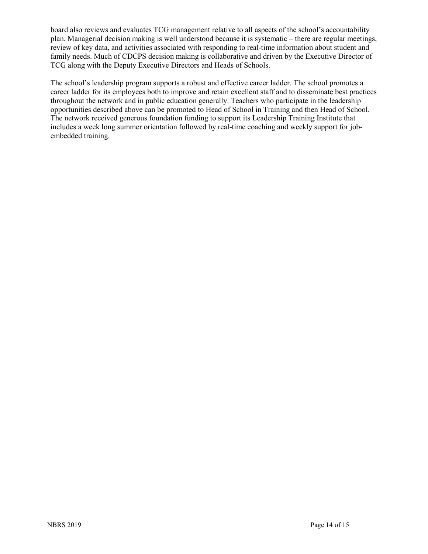board also reviews and evaluates TCG management relative to all aspects of the school's accountability plan. Managerial decision making is well understood because it is systematic – there are regular meetings, review of key data, and activities associated with responding to real-time information about student and family needs. Much of CDCPS decision making is collaborative and driven by the Executive Director of TCG along with the Deputy Executive Directors and Heads of Schools.

The school's leadership program supports a robust and effective career ladder. The school promotes a career ladder for its employees both to improve and retain excellent staff and to disseminate best practices throughout the network and in public education generally. Teachers who participate in the leadership opportunities described above can be promoted to Head of School in Training and then Head of School. The network received generous foundation funding to support its Leadership Training Institute that includes a week long summer orientation followed by real-time coaching and weekly support for jobembedded training.